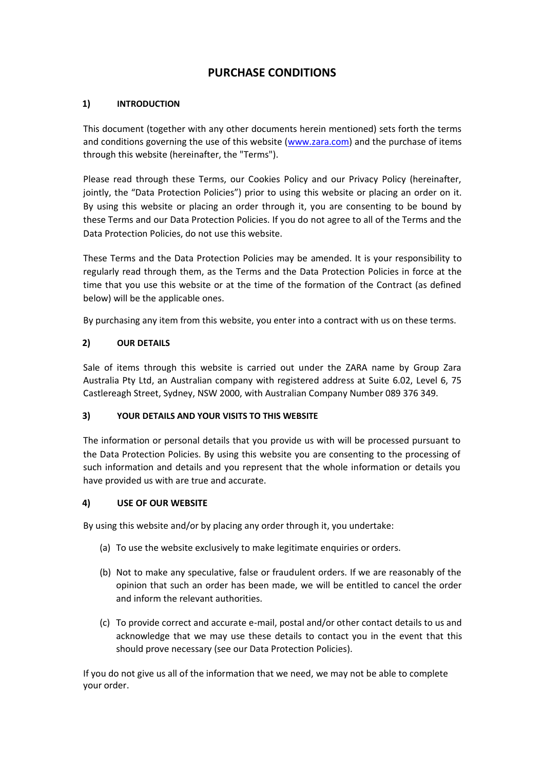# **PURCHASE CONDITIONS**

## **1) INTRODUCTION**

This document (together with any other documents herein mentioned) sets forth the terms and conditions governing the use of this website (www.zara.com) and the purchase of items through this website (hereinafter, the "Terms").

Please read through these Terms, our Cookies Policy and our Privacy Policy (hereinafter, jointly, the "Data Protection Policies") prior to using this website or placing an order on it. By using this website or placing an order through it, you are consenting to be bound by these Terms and our Data Protection Policies. If you do not agree to all of the Terms and the Data Protection Policies, do not use this website.

These Terms and the Data Protection Policies may be amended. It is your responsibility to regularly read through them, as the Terms and the Data Protection Policies in force at the time that you use this website or at the time of the formation of the Contract (as defined below) will be the applicable ones.

By purchasing any item from this website, you enter into a contract with us on these terms.

## **2) OUR DETAILS**

Sale of items through this website is carried out under the ZARA name by Group Zara Australia Pty Ltd, an Australian company with registered address at Suite 6.02, Level 6, 75 Castlereagh Street, Sydney, NSW 2000, with Australian Company Number 089 376 349.

## **3) YOUR DETAILS AND YOUR VISITS TO THIS WEBSITE**

The information or personal details that you provide us with will be processed pursuant to the Data Protection Policies. By using this website you are consenting to the processing of such information and details and you represent that the whole information or details you have provided us with are true and accurate.

## **4) USE OF OUR WEBSITE**

By using this website and/or by placing any order through it, you undertake:

- (a) To use the website exclusively to make legitimate enquiries or orders.
- (b) Not to make any speculative, false or fraudulent orders. If we are reasonably of the opinion that such an order has been made, we will be entitled to cancel the order and inform the relevant authorities.
- (c) To provide correct and accurate e-mail, postal and/or other contact details to us and acknowledge that we may use these details to contact you in the event that this should prove necessary (see our Data Protection Policies).

If you do not give us all of the information that we need, we may not be able to complete your order.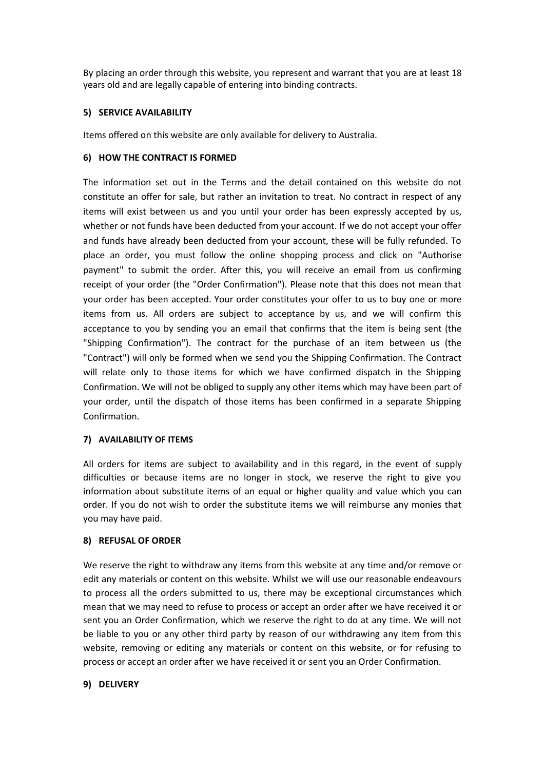By placing an order through this website, you represent and warrant that you are at least 18 years old and are legally capable of entering into binding contracts.

#### **5) SERVICE AVAILABILITY**

Items offered on this website are only available for delivery to Australia.

#### **6) HOW THE CONTRACT IS FORMED**

The information set out in the Terms and the detail contained on this website do not constitute an offer for sale, but rather an invitation to treat. No contract in respect of any items will exist between us and you until your order has been expressly accepted by us, whether or not funds have been deducted from your account. If we do not accept your offer and funds have already been deducted from your account, these will be fully refunded. To place an order, you must follow the online shopping process and click on "Authorise payment" to submit the order. After this, you will receive an email from us confirming receipt of your order (the "Order Confirmation"). Please note that this does not mean that your order has been accepted. Your order constitutes your offer to us to buy one or more items from us. All orders are subject to acceptance by us, and we will confirm this acceptance to you by sending you an email that confirms that the item is being sent (the "Shipping Confirmation"). The contract for the purchase of an item between us (the "Contract") will only be formed when we send you the Shipping Confirmation. The Contract will relate only to those items for which we have confirmed dispatch in the Shipping Confirmation. We will not be obliged to supply any other items which may have been part of your order, until the dispatch of those items has been confirmed in a separate Shipping Confirmation.

## **7) AVAILABILITY OF ITEMS**

All orders for items are subject to availability and in this regard, in the event of supply difficulties or because items are no longer in stock, we reserve the right to give you information about substitute items of an equal or higher quality and value which you can order. If you do not wish to order the substitute items we will reimburse any monies that you may have paid.

#### **8) REFUSAL OF ORDER**

We reserve the right to withdraw any items from this website at any time and/or remove or edit any materials or content on this website. Whilst we will use our reasonable endeavours to process all the orders submitted to us, there may be exceptional circumstances which mean that we may need to refuse to process or accept an order after we have received it or sent you an Order Confirmation, which we reserve the right to do at any time. We will not be liable to you or any other third party by reason of our withdrawing any item from this website, removing or editing any materials or content on this website, or for refusing to process or accept an order after we have received it or sent you an Order Confirmation.

#### **9) DELIVERY**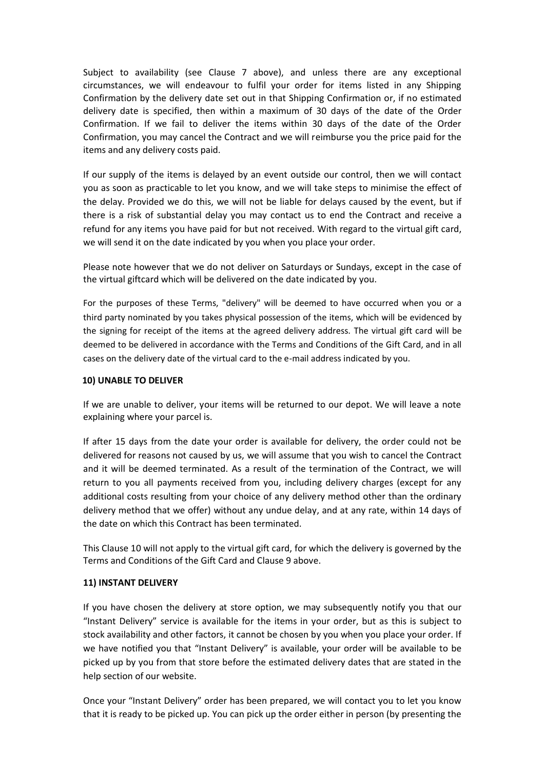Subject to availability (see Clause 7 above), and unless there are any exceptional circumstances, we will endeavour to fulfil your order for items listed in any Shipping Confirmation by the delivery date set out in that Shipping Confirmation or, if no estimated delivery date is specified, then within a maximum of 30 days of the date of the Order Confirmation. If we fail to deliver the items within 30 days of the date of the Order Confirmation, you may cancel the Contract and we will reimburse you the price paid for the items and any delivery costs paid.

If our supply of the items is delayed by an event outside our control, then we will contact you as soon as practicable to let you know, and we will take steps to minimise the effect of the delay. Provided we do this, we will not be liable for delays caused by the event, but if there is a risk of substantial delay you may contact us to end the Contract and receive a refund for any items you have paid for but not received. With regard to the virtual gift card, we will send it on the date indicated by you when you place your order.

Please note however that we do not deliver on Saturdays or Sundays, except in the case of the virtual giftcard which will be delivered on the date indicated by you.

For the purposes of these Terms, "delivery" will be deemed to have occurred when you or a third party nominated by you takes physical possession of the items, which will be evidenced by the signing for receipt of the items at the agreed delivery address. The virtual gift card will be deemed to be delivered in accordance with the Terms and Conditions of the Gift Card, and in all cases on the delivery date of the virtual card to the e-mail address indicated by you.

## **10) UNABLE TO DELIVER**

If we are unable to deliver, your items will be returned to our depot. We will leave a note explaining where your parcel is.

If after 15 days from the date your order is available for delivery, the order could not be delivered for reasons not caused by us, we will assume that you wish to cancel the Contract and it will be deemed terminated. As a result of the termination of the Contract, we will return to you all payments received from you, including delivery charges (except for any additional costs resulting from your choice of any delivery method other than the ordinary delivery method that we offer) without any undue delay, and at any rate, within 14 days of the date on which this Contract has been terminated.

This Clause 10 will not apply to the virtual gift card, for which the delivery is governed by the Terms and Conditions of the Gift Card and Clause 9 above.

## **11) INSTANT DELIVERY**

If you have chosen the delivery at store option, we may subsequently notify you that our "Instant Delivery" service is available for the items in your order, but as this is subject to stock availability and other factors, it cannot be chosen by you when you place your order. If we have notified you that "Instant Delivery" is available, your order will be available to be picked up by you from that store before the estimated delivery dates that are stated in the help section of our website.

Once your "Instant Delivery" order has been prepared, we will contact you to let you know that it is ready to be picked up. You can pick up the order either in person (by presenting the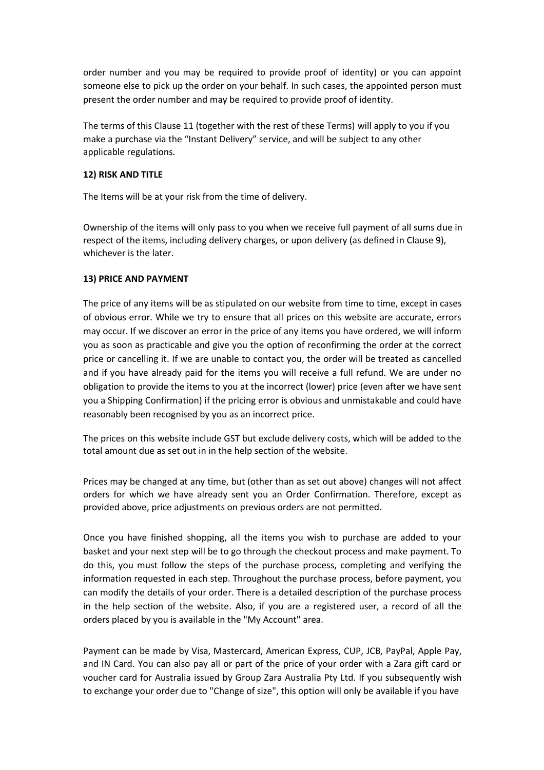order number and you may be required to provide proof of identity) or you can appoint someone else to pick up the order on your behalf. In such cases, the appointed person must present the order number and may be required to provide proof of identity.

The terms of this Clause 11 (together with the rest of these Terms) will apply to you if you make a purchase via the "Instant Delivery" service, and will be subject to any other applicable regulations.

## **12) RISK AND TITLE**

The Items will be at your risk from the time of delivery.

Ownership of the items will only pass to you when we receive full payment of all sums due in respect of the items, including delivery charges, or upon delivery (as defined in Clause 9), whichever is the later.

## **13) PRICE AND PAYMENT**

The price of any items will be as stipulated on our website from time to time, except in cases of obvious error. While we try to ensure that all prices on this website are accurate, errors may occur. If we discover an error in the price of any items you have ordered, we will inform you as soon as practicable and give you the option of reconfirming the order at the correct price or cancelling it. If we are unable to contact you, the order will be treated as cancelled and if you have already paid for the items you will receive a full refund. We are under no obligation to provide the items to you at the incorrect (lower) price (even after we have sent you a Shipping Confirmation) if the pricing error is obvious and unmistakable and could have reasonably been recognised by you as an incorrect price.

The prices on this website include GST but exclude delivery costs, which will be added to the total amount due as set out in in the help section of the website.

Prices may be changed at any time, but (other than as set out above) changes will not affect orders for which we have already sent you an Order Confirmation. Therefore, except as provided above, price adjustments on previous orders are not permitted.

Once you have finished shopping, all the items you wish to purchase are added to your basket and your next step will be to go through the checkout process and make payment. To do this, you must follow the steps of the purchase process, completing and verifying the information requested in each step. Throughout the purchase process, before payment, you can modify the details of your order. There is a detailed description of the purchase process in the help section of the website. Also, if you are a registered user, a record of all the orders placed by you is available in the "My Account" area.

Payment can be made by Visa, Mastercard, American Express, CUP, JCB, PayPal, Apple Pay, and IN Card. You can also pay all or part of the price of your order with a Zara gift card or voucher card for Australia issued by Group Zara Australia Pty Ltd. If you subsequently wish to exchange your order due to "Change of size", this option will only be available if you have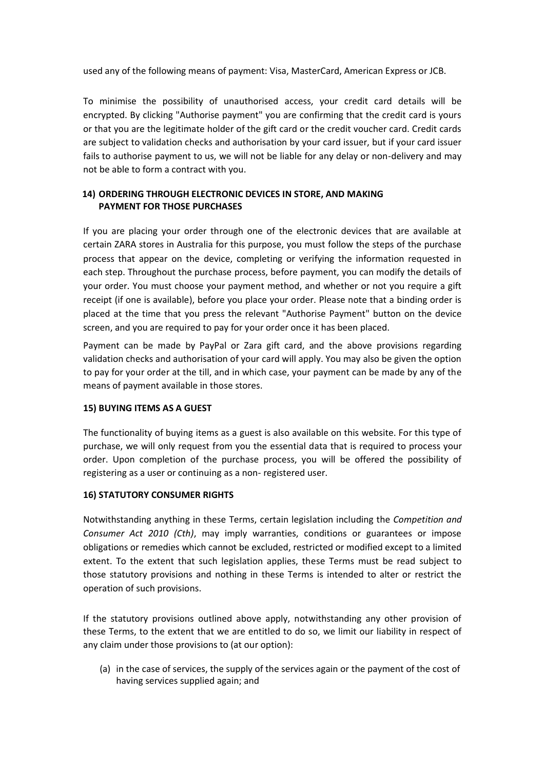used any of the following means of payment: Visa, MasterCard, American Express or JCB.

To minimise the possibility of unauthorised access, your credit card details will be encrypted. By clicking "Authorise payment" you are confirming that the credit card is yours or that you are the legitimate holder of the gift card or the credit voucher card. Credit cards are subject to validation checks and authorisation by your card issuer, but if your card issuer fails to authorise payment to us, we will not be liable for any delay or non-delivery and may not be able to form a contract with you.

## **14) ORDERING THROUGH ELECTRONIC DEVICES IN STORE, AND MAKING PAYMENT FOR THOSE PURCHASES**

If you are placing your order through one of the electronic devices that are available at certain ZARA stores in Australia for this purpose, you must follow the steps of the purchase process that appear on the device, completing or verifying the information requested in each step. Throughout the purchase process, before payment, you can modify the details of your order. You must choose your payment method, and whether or not you require a gift receipt (if one is available), before you place your order. Please note that a binding order is placed at the time that you press the relevant "Authorise Payment" button on the device screen, and you are required to pay for your order once it has been placed.

Payment can be made by PayPal or Zara gift card, and the above provisions regarding validation checks and authorisation of your card will apply. You may also be given the option to pay for your order at the till, and in which case, your payment can be made by any of the means of payment available in those stores.

## **15) BUYING ITEMS AS A GUEST**

The functionality of buying items as a guest is also available on this website. For this type of purchase, we will only request from you the essential data that is required to process your order. Upon completion of the purchase process, you will be offered the possibility of registering as a user or continuing as a non- registered user.

## **16) STATUTORY CONSUMER RIGHTS**

Notwithstanding anything in these Terms, certain legislation including the *Competition and Consumer Act 2010 (Cth)*, may imply warranties, conditions or guarantees or impose obligations or remedies which cannot be excluded, restricted or modified except to a limited extent. To the extent that such legislation applies, these Terms must be read subject to those statutory provisions and nothing in these Terms is intended to alter or restrict the operation of such provisions.

If the statutory provisions outlined above apply, notwithstanding any other provision of these Terms, to the extent that we are entitled to do so, we limit our liability in respect of any claim under those provisions to (at our option):

(a) in the case of services, the supply of the services again or the payment of the cost of having services supplied again; and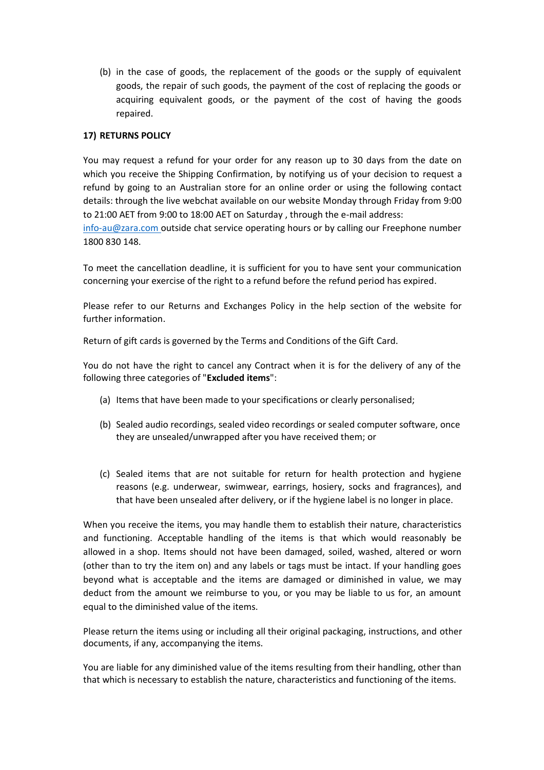(b) in the case of goods, the replacement of the goods or the supply of equivalent goods, the repair of such goods, the payment of the cost of replacing the goods or acquiring equivalent goods, or the payment of the cost of having the goods repaired.

## **17) RETURNS POLICY**

You may request a refund for your order for any reason up to 30 days from the date on which you receive the Shipping Confirmation, by notifying us of your decision to request a refund by going to an Australian store for an online order or using the following contact details: through the live webchat available on our website Monday through Friday from 9:00 to 21:00 AET from 9:00 to 18:00 AET on Saturday , through the e-mail address:

[info-au@zara.com o](mailto:info-au@zara.com)utside chat service operating hours or by calling our Freephone number 1800 830 148.

To meet the cancellation deadline, it is sufficient for you to have sent your communication concerning your exercise of the right to a refund before the refund period has expired.

Please refer to our Returns and Exchanges Policy in the help section of the website for further information.

Return of gift cards is governed by the Terms and Conditions of the Gift Card.

You do not have the right to cancel any Contract when it is for the delivery of any of the following three categories of "**Excluded items**":

- (a) Items that have been made to your specifications or clearly personalised;
- (b) Sealed audio recordings, sealed video recordings or sealed computer software, once they are unsealed/unwrapped after you have received them; or
- (c) Sealed items that are not suitable for return for health protection and hygiene reasons (e.g. underwear, swimwear, earrings, hosiery, socks and fragrances), and that have been unsealed after delivery, or if the hygiene label is no longer in place.

When you receive the items, you may handle them to establish their nature, characteristics and functioning. Acceptable handling of the items is that which would reasonably be allowed in a shop. Items should not have been damaged, soiled, washed, altered or worn (other than to try the item on) and any labels or tags must be intact. If your handling goes beyond what is acceptable and the items are damaged or diminished in value, we may deduct from the amount we reimburse to you, or you may be liable to us for, an amount equal to the diminished value of the items.

Please return the items using or including all their original packaging, instructions, and other documents, if any, accompanying the items.

You are liable for any diminished value of the items resulting from their handling, other than that which is necessary to establish the nature, characteristics and functioning of the items.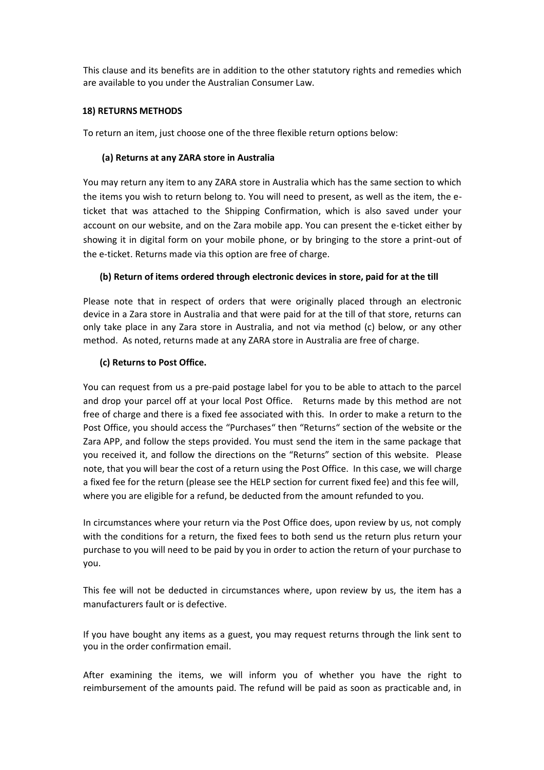This clause and its benefits are in addition to the other statutory rights and remedies which are available to you under the Australian Consumer Law.

## **18) RETURNS METHODS**

To return an item, just choose one of the three flexible return options below:

## **(a) Returns at any ZARA store in Australia**

You may return any item to any ZARA store in Australia which has the same section to which the items you wish to return belong to. You will need to present, as well as the item, the eticket that was attached to the Shipping Confirmation, which is also saved under your account on our website, and on the Zara mobile app. You can present the e-ticket either by showing it in digital form on your mobile phone, or by bringing to the store a print-out of the e-ticket. Returns made via this option are free of charge.

## **(b) Return of items ordered through electronic devices in store, paid for at the till**

Please note that in respect of orders that were originally placed through an electronic device in a Zara store in Australia and that were paid for at the till of that store, returns can only take place in any Zara store in Australia, and not via method (c) below, or any other method. As noted, returns made at any ZARA store in Australia are free of charge.

## **(c) Returns to Post Office.**

You can request from us a pre-paid postage label for you to be able to attach to the parcel and drop your parcel off at your local Post Office. Returns made by this method are not free of charge and there is a fixed fee associated with this. In order to make a return to the Post Office, you should access the "Purchases" then "Returns" section of the website or the Zara APP, and follow the steps provided. You must send the item in the same package that you received it, and follow the directions on the "Returns" section of this website. Please note, that you will bear the cost of a return using the Post Office. In this case, we will charge a fixed fee for the return (please see the HELP section for current fixed fee) and this fee will, where you are eligible for a refund, be deducted from the amount refunded to you.

In circumstances where your return via the Post Office does, upon review by us, not comply with the conditions for a return, the fixed fees to both send us the return plus return your purchase to you will need to be paid by you in order to action the return of your purchase to you.

This fee will not be deducted in circumstances where, upon review by us, the item has a manufacturers fault or is defective.

If you have bought any items as a guest, you may request returns through the link sent to you in the order confirmation email.

After examining the items, we will inform you of whether you have the right to reimbursement of the amounts paid. The refund will be paid as soon as practicable and, in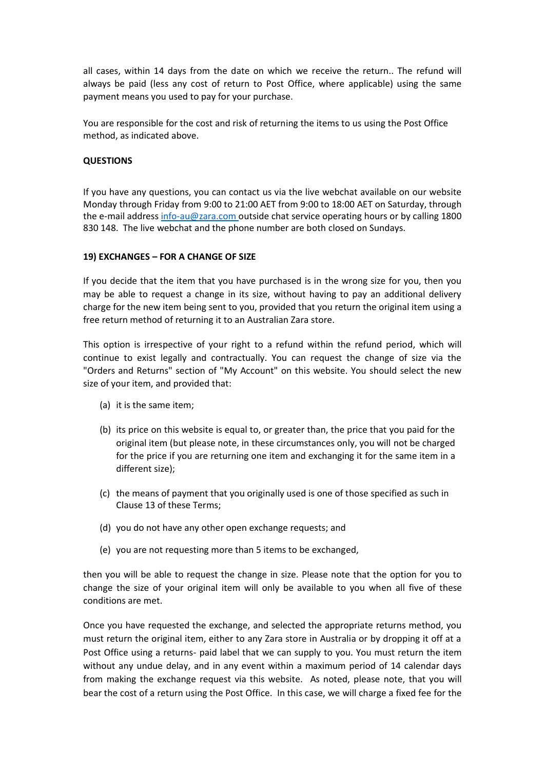all cases, within 14 days from the date on which we receive the return.. The refund will always be paid (less any cost of return to Post Office, where applicable) using the same payment means you used to pay for your purchase.

You are responsible for the cost and risk of returning the items to us using the Post Office method, as indicated above.

## **QUESTIONS**

If you have any questions, you can contact us via the live webchat available on our website Monday through Friday from 9:00 to 21:00 AET from 9:00 to 18:00 AET on Saturday, through the e-mail address [info-au@zara.com o](mailto:info-au@zara.com)utside chat service operating hours or by calling 1800 830 148. The live webchat and the phone number are both closed on Sundays.

## **19) EXCHANGES – FOR A CHANGE OF SIZE**

If you decide that the item that you have purchased is in the wrong size for you, then you may be able to request a change in its size, without having to pay an additional delivery charge for the new item being sent to you, provided that you return the original item using a free return method of returning it to an Australian Zara store.

This option is irrespective of your right to a refund within the refund period, which will continue to exist legally and contractually. You can request the change of size via the "Orders and Returns" section of "My Account" on this website. You should select the new size of your item, and provided that:

- (a) it is the same item;
- (b) its price on this website is equal to, or greater than, the price that you paid for the original item (but please note, in these circumstances only, you will not be charged for the price if you are returning one item and exchanging it for the same item in a different size);
- (c) the means of payment that you originally used is one of those specified as such in Clause 13 of these Terms;
- (d) you do not have any other open exchange requests; and
- (e) you are not requesting more than 5 items to be exchanged,

then you will be able to request the change in size. Please note that the option for you to change the size of your original item will only be available to you when all five of these conditions are met.

Once you have requested the exchange, and selected the appropriate returns method, you must return the original item, either to any Zara store in Australia or by dropping it off at a Post Office using a returns- paid label that we can supply to you. You must return the item without any undue delay, and in any event within a maximum period of 14 calendar days from making the exchange request via this website. As noted, please note, that you will bear the cost of a return using the Post Office. In this case, we will charge a fixed fee for the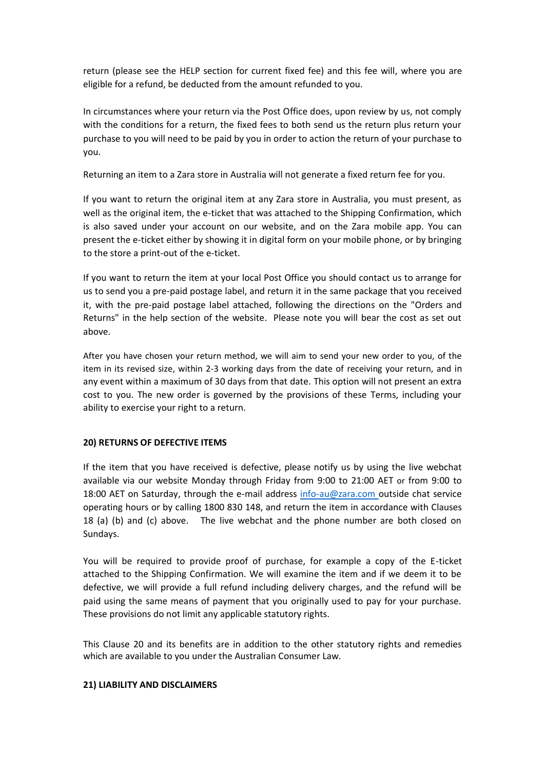return (please see the HELP section for current fixed fee) and this fee will, where you are eligible for a refund, be deducted from the amount refunded to you.

In circumstances where your return via the Post Office does, upon review by us, not comply with the conditions for a return, the fixed fees to both send us the return plus return your purchase to you will need to be paid by you in order to action the return of your purchase to you.

Returning an item to a Zara store in Australia will not generate a fixed return fee for you.

If you want to return the original item at any Zara store in Australia, you must present, as well as the original item, the e-ticket that was attached to the Shipping Confirmation, which is also saved under your account on our website, and on the Zara mobile app. You can present the e-ticket either by showing it in digital form on your mobile phone, or by bringing to the store a print-out of the e-ticket.

If you want to return the item at your local Post Office you should contact us to arrange for us to send you a pre-paid postage label, and return it in the same package that you received it, with the pre-paid postage label attached, following the directions on the "Orders and Returns" in the help section of the website. Please note you will bear the cost as set out above.

After you have chosen your return method, we will aim to send your new order to you, of the item in its revised size, within 2-3 working days from the date of receiving your return, and in any event within a maximum of 30 days from that date. This option will not present an extra cost to you. The new order is governed by the provisions of these Terms, including your ability to exercise your right to a return.

## **20) RETURNS OF DEFECTIVE ITEMS**

If the item that you have received is defective, please notify us by using the live webchat available via our website Monday through Friday from 9:00 to 21:00 AET or from 9:00 to 18:00 AET on Saturday, through the e-mail address [info-au@zara.com o](mailto:info-au@zara.com)utside chat service operating hours or by calling 1800 830 148, and return the item in accordance with Clauses 18 (a) (b) and (c) above. The live webchat and the phone number are both closed on Sundays.

You will be required to provide proof of purchase, for example a copy of the E-ticket attached to the Shipping Confirmation. We will examine the item and if we deem it to be defective, we will provide a full refund including delivery charges, and the refund will be paid using the same means of payment that you originally used to pay for your purchase. These provisions do not limit any applicable statutory rights.

This Clause 20 and its benefits are in addition to the other statutory rights and remedies which are available to you under the Australian Consumer Law.

## **21) LIABILITY AND DISCLAIMERS**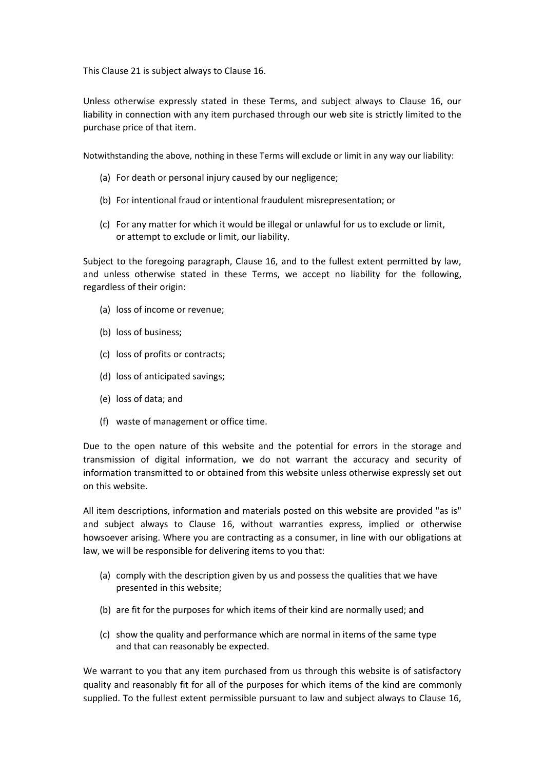This Clause 21 is subject always to Clause 16.

Unless otherwise expressly stated in these Terms, and subject always to Clause 16, our liability in connection with any item purchased through our web site is strictly limited to the purchase price of that item.

Notwithstanding the above, nothing in these Terms will exclude or limit in any way our liability:

- (a) For death or personal injury caused by our negligence;
- (b) For intentional fraud or intentional fraudulent misrepresentation; or
- (c) For any matter for which it would be illegal or unlawful for us to exclude or limit, or attempt to exclude or limit, our liability.

Subject to the foregoing paragraph, Clause 16, and to the fullest extent permitted by law, and unless otherwise stated in these Terms, we accept no liability for the following, regardless of their origin:

- (a) loss of income or revenue;
- (b) loss of business;
- (c) loss of profits or contracts;
- (d) loss of anticipated savings;
- (e) loss of data; and
- (f) waste of management or office time.

Due to the open nature of this website and the potential for errors in the storage and transmission of digital information, we do not warrant the accuracy and security of information transmitted to or obtained from this website unless otherwise expressly set out on this website.

All item descriptions, information and materials posted on this website are provided "as is" and subject always to Clause 16, without warranties express, implied or otherwise howsoever arising. Where you are contracting as a consumer, in line with our obligations at law, we will be responsible for delivering items to you that:

- (a) comply with the description given by us and possess the qualities that we have presented in this website;
- (b) are fit for the purposes for which items of their kind are normally used; and
- (c) show the quality and performance which are normal in items of the same type and that can reasonably be expected.

We warrant to you that any item purchased from us through this website is of satisfactory quality and reasonably fit for all of the purposes for which items of the kind are commonly supplied. To the fullest extent permissible pursuant to law and subject always to Clause 16,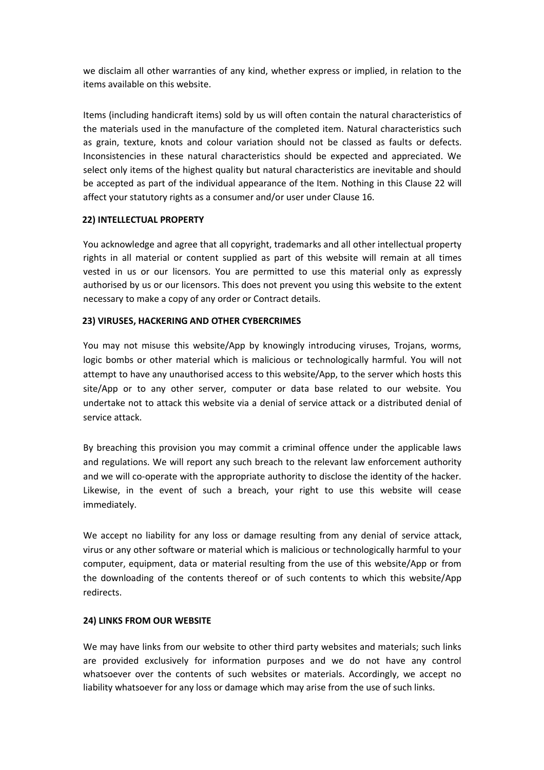we disclaim all other warranties of any kind, whether express or implied, in relation to the items available on this website.

Items (including handicraft items) sold by us will often contain the natural characteristics of the materials used in the manufacture of the completed item. Natural characteristics such as grain, texture, knots and colour variation should not be classed as faults or defects. Inconsistencies in these natural characteristics should be expected and appreciated. We select only items of the highest quality but natural characteristics are inevitable and should be accepted as part of the individual appearance of the Item. Nothing in this Clause 22 will affect your statutory rights as a consumer and/or user under Clause 16.

## **22) INTELLECTUAL PROPERTY**

You acknowledge and agree that all copyright, trademarks and all other intellectual property rights in all material or content supplied as part of this website will remain at all times vested in us or our licensors. You are permitted to use this material only as expressly authorised by us or our licensors. This does not prevent you using this website to the extent necessary to make a copy of any order or Contract details.

## **23) VIRUSES, HACKERING AND OTHER CYBERCRIMES**

You may not misuse this website/App by knowingly introducing viruses, Trojans, worms, logic bombs or other material which is malicious or technologically harmful. You will not attempt to have any unauthorised access to this website/App, to the server which hosts this site/App or to any other server, computer or data base related to our website. You undertake not to attack this website via a denial of service attack or a distributed denial of service attack.

By breaching this provision you may commit a criminal offence under the applicable laws and regulations. We will report any such breach to the relevant law enforcement authority and we will co-operate with the appropriate authority to disclose the identity of the hacker. Likewise, in the event of such a breach, your right to use this website will cease immediately.

We accept no liability for any loss or damage resulting from any denial of service attack, virus or any other software or material which is malicious or technologically harmful to your computer, equipment, data or material resulting from the use of this website/App or from the downloading of the contents thereof or of such contents to which this website/App redirects.

## **24) LINKS FROM OUR WEBSITE**

We may have links from our website to other third party websites and materials; such links are provided exclusively for information purposes and we do not have any control whatsoever over the contents of such websites or materials. Accordingly, we accept no liability whatsoever for any loss or damage which may arise from the use of such links.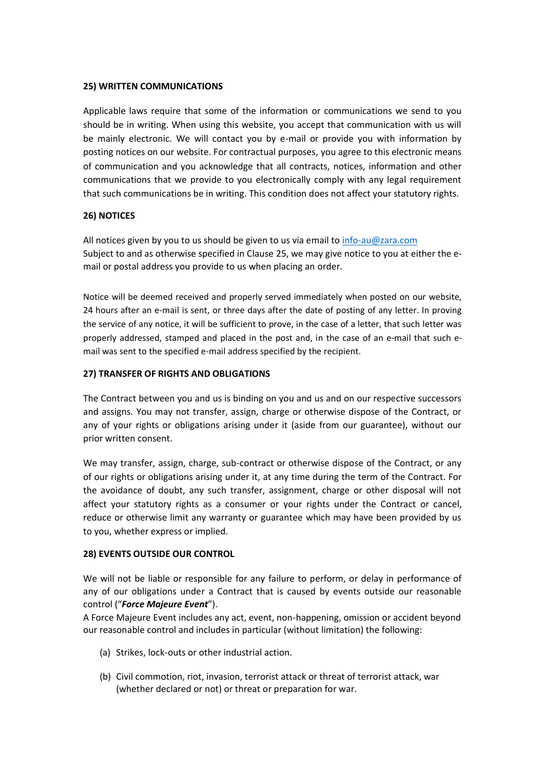## **25) WRITTEN COMMUNICATIONS**

Applicable laws require that some of the information or communications we send to you should be in writing. When using this website, you accept that communication with us will be mainly electronic. We will contact you by e-mail or provide you with information by posting notices on our website. For contractual purposes, you agree to this electronic means of communication and you acknowledge that all contracts, notices, information and other communications that we provide to you electronically comply with any legal requirement that such communications be in writing. This condition does not affect your statutory rights.

## **26) NOTICES**

All notices given by you to us should be given to us via email to [info-au@zara.com](mailto:info-au@zara.com) Subject to and as otherwise specified in Clause 25, we may give notice to you at either the email or postal address you provide to us when placing an order.

Notice will be deemed received and properly served immediately when posted on our website, 24 hours after an e-mail is sent, or three days after the date of posting of any letter. In proving the service of any notice, it will be sufficient to prove, in the case of a letter, that such letter was properly addressed, stamped and placed in the post and, in the case of an e-mail that such email was sent to the specified e-mail address specified by the recipient.

## **27) TRANSFER OF RIGHTS AND OBLIGATIONS**

The Contract between you and us is binding on you and us and on our respective successors and assigns. You may not transfer, assign, charge or otherwise dispose of the Contract, or any of your rights or obligations arising under it (aside from our guarantee), without our prior written consent.

We may transfer, assign, charge, sub-contract or otherwise dispose of the Contract, or any of our rights or obligations arising under it, at any time during the term of the Contract. For the avoidance of doubt, any such transfer, assignment, charge or other disposal will not affect your statutory rights as a consumer or your rights under the Contract or cancel, reduce or otherwise limit any warranty or guarantee which may have been provided by us to you, whether express or implied.

## **28) EVENTS OUTSIDE OUR CONTROL**

We will not be liable or responsible for any failure to perform, or delay in performance of any of our obligations under a Contract that is caused by events outside our reasonable control ("*Force Majeure Event*").

A Force Majeure Event includes any act, event, non-happening, omission or accident beyond our reasonable control and includes in particular (without limitation) the following:

- (a) Strikes, lock-outs or other industrial action.
- (b) Civil commotion, riot, invasion, terrorist attack or threat of terrorist attack, war (whether declared or not) or threat or preparation for war.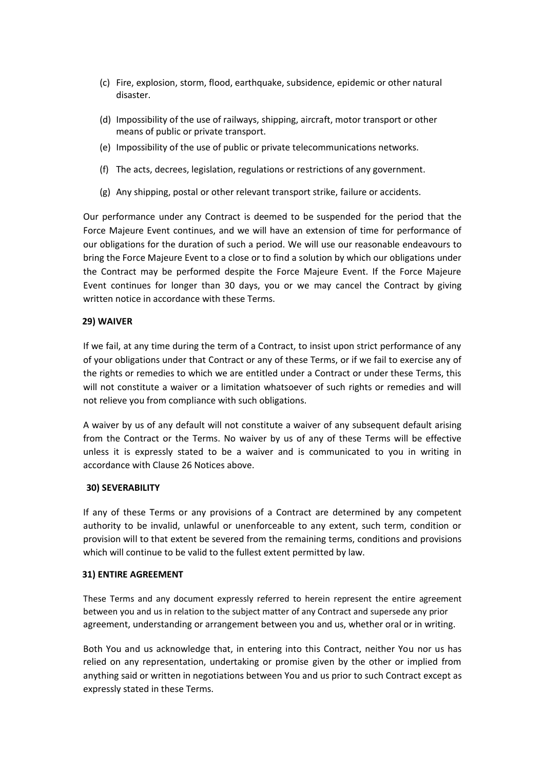- (c) Fire, explosion, storm, flood, earthquake, subsidence, epidemic or other natural disaster.
- (d) Impossibility of the use of railways, shipping, aircraft, motor transport or other means of public or private transport.
- (e) Impossibility of the use of public or private telecommunications networks.
- (f) The acts, decrees, legislation, regulations or restrictions of any government.
- (g) Any shipping, postal or other relevant transport strike, failure or accidents.

Our performance under any Contract is deemed to be suspended for the period that the Force Majeure Event continues, and we will have an extension of time for performance of our obligations for the duration of such a period. We will use our reasonable endeavours to bring the Force Majeure Event to a close or to find a solution by which our obligations under the Contract may be performed despite the Force Majeure Event. If the Force Majeure Event continues for longer than 30 days, you or we may cancel the Contract by giving written notice in accordance with these Terms.

## **29) WAIVER**

If we fail, at any time during the term of a Contract, to insist upon strict performance of any of your obligations under that Contract or any of these Terms, or if we fail to exercise any of the rights or remedies to which we are entitled under a Contract or under these Terms, this will not constitute a waiver or a limitation whatsoever of such rights or remedies and will not relieve you from compliance with such obligations.

A waiver by us of any default will not constitute a waiver of any subsequent default arising from the Contract or the Terms. No waiver by us of any of these Terms will be effective unless it is expressly stated to be a waiver and is communicated to you in writing in accordance with Clause 26 Notices above.

## **30) SEVERABILITY**

If any of these Terms or any provisions of a Contract are determined by any competent authority to be invalid, unlawful or unenforceable to any extent, such term, condition or provision will to that extent be severed from the remaining terms, conditions and provisions which will continue to be valid to the fullest extent permitted by law.

## **31) ENTIRE AGREEMENT**

These Terms and any document expressly referred to herein represent the entire agreement between you and us in relation to the subject matter of any Contract and supersede any prior agreement, understanding or arrangement between you and us, whether oral or in writing.

Both You and us acknowledge that, in entering into this Contract, neither You nor us has relied on any representation, undertaking or promise given by the other or implied from anything said or written in negotiations between You and us prior to such Contract except as expressly stated in these Terms.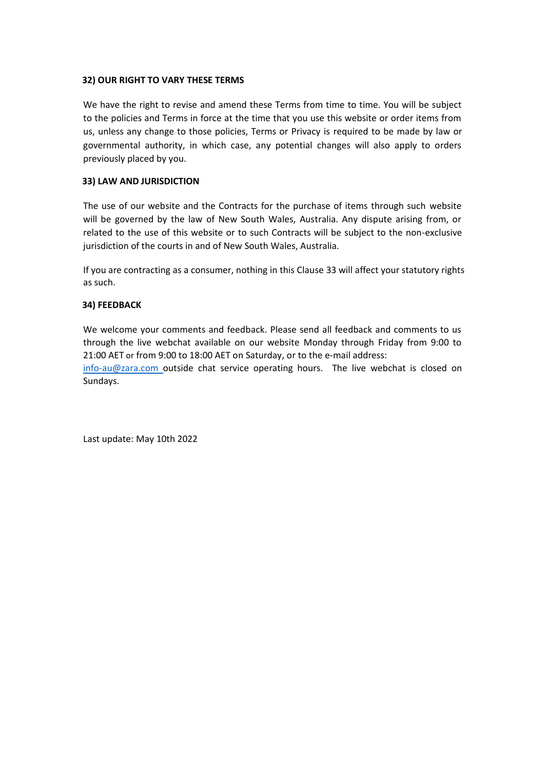#### **32) OUR RIGHT TO VARY THESE TERMS**

We have the right to revise and amend these Terms from time to time. You will be subject to the policies and Terms in force at the time that you use this website or order items from us, unless any change to those policies, Terms or Privacy is required to be made by law or governmental authority, in which case, any potential changes will also apply to orders previously placed by you.

#### **33) LAW AND JURISDICTION**

The use of our website and the Contracts for the purchase of items through such website will be governed by the law of New South Wales, Australia. Any dispute arising from, or related to the use of this website or to such Contracts will be subject to the non-exclusive jurisdiction of the courts in and of New South Wales, Australia.

If you are contracting as a consumer, nothing in this Clause 33 will affect your statutory rights as such.

## **34) FEEDBACK**

We welcome your comments and feedback. Please send all feedback and comments to us through the live webchat available on our website Monday through Friday from 9:00 to 21:00 AET or from 9:00 to 18:00 AET on Saturday, or to the e-mail address:

[info-au@zara.com o](mailto:info-au@zara.com)utside chat service operating hours. The live webchat is closed on Sundays.

Last update: May 10th 2022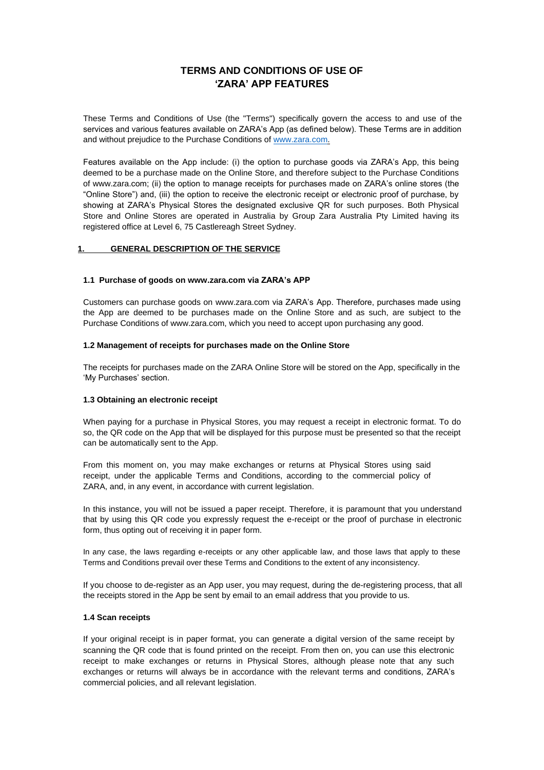## **TERMS AND CONDITIONS OF USE OF 'ZARA' APP FEATURES**

These Terms and Conditions of Use (the "Terms") specifically govern the access to and use of the services and various features available on ZARA's App (as defined below). These Terms are in addition and without prejudice to the Purchase Conditions of [www.zara.com.](http://www.zara.com/)

Features available on the App include: (i) the option to purchase goods via ZARA's App, this being deemed to be a purchase made on the Online Store, and therefore subject to the Purchase Conditions of www.zara.com; (ii) the option to manage receipts for purchases made on ZARA's online stores (the "Online Store") and, (iii) the option to receive the electronic receipt or electronic proof of purchase, by showing at ZARA's Physical Stores the designated exclusive QR for such purposes. Both Physical Store and Online Stores are operated in Australia by Group Zara Australia Pty Limited having its registered office at Level 6, 75 Castlereagh Street Sydney.

#### **1. GENERAL DESCRIPTION OF THE SERVICE**

#### **1.1 Purchase of goods o[n www.zara.com v](http://www.zara.com/)ia ZARA's APP**

Customers can purchase goods on [www.zara.com v](http://www.zara.com/)ia ZARA's App. Therefore, purchases made using the App are deemed to be purchases made on the Online Store and as such, are subject to the Purchase Conditions o[f www.zara.com, w](http://www.zara.com/)hich you need to accept upon purchasing any good.

#### **1.2 Management of receipts for purchases made on the Online Store**

The receipts for purchases made on the ZARA Online Store will be stored on the App, specifically in the 'My Purchases' section.

#### **1.3 Obtaining an electronic receipt**

When paying for a purchase in Physical Stores, you may request a receipt in electronic format. To do so, the QR code on the App that will be displayed for this purpose must be presented so that the receipt can be automatically sent to the App.

From this moment on, you may make exchanges or returns at Physical Stores using said receipt, under the applicable Terms and Conditions, according to the commercial policy of ZARA, and, in any event, in accordance with current legislation.

In this instance, you will not be issued a paper receipt. Therefore, it is paramount that you understand that by using this QR code you expressly request the e-receipt or the proof of purchase in electronic form, thus opting out of receiving it in paper form.

In any case, the laws regarding e-receipts or any other applicable law, and those laws that apply to these Terms and Conditions prevail over these Terms and Conditions to the extent of any inconsistency.

If you choose to de-register as an App user, you may request, during the de-registering process, that all the receipts stored in the App be sent by email to an email address that you provide to us.

#### **1.4 Scan receipts**

If your original receipt is in paper format, you can generate a digital version of the same receipt by scanning the QR code that is found printed on the receipt. From then on, you can use this electronic receipt to make exchanges or returns in Physical Stores, although please note that any such exchanges or returns will always be in accordance with the relevant terms and conditions, ZARA's commercial policies, and all relevant legislation.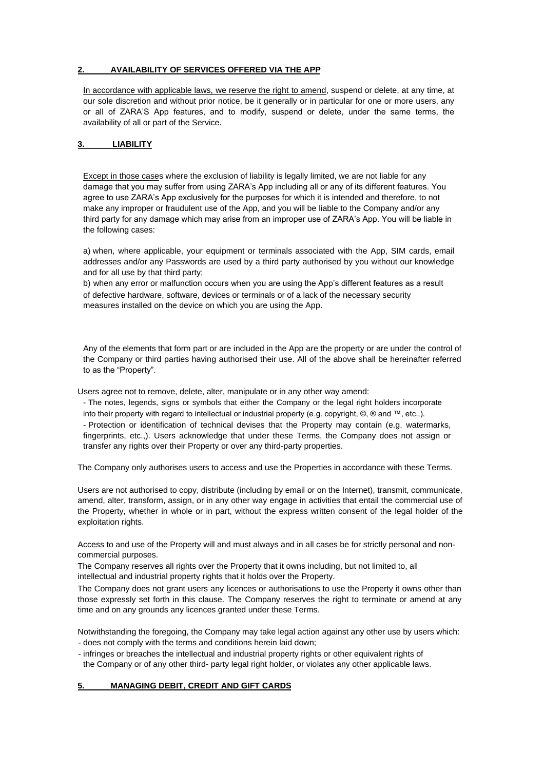#### **2. AVAILABILITY OF SERVICES OFFERED VIA THE APP**

In accordance with applicable laws, we reserve the right to amend, suspend or delete, at any time, at our sole discretion and without prior notice, be it generally or in particular for one or more users, any or all of ZARA'S App features, and to modify, suspend or delete, under the same terms, the availability of all or part of the Service.

#### **3. LIABILITY**

Except in those cases where the exclusion of liability is legally limited, we are not liable for any damage that you may suffer from using ZARA's App including all or any of its different features. You agree to use ZARA's App exclusively for the purposes for which it is intended and therefore, to not make any improper or fraudulent use of the App, and you will be liable to the Company and/or any third party for any damage which may arise from an improper use of ZARA's App. You will be liable in the following cases:

a) when, where applicable, your equipment or terminals associated with the App, SIM cards, email addresses and/or any Passwords are used by a third party authorised by you without our knowledge and for all use by that third party;

b) when any error or malfunction occurs when you are using the App's different features as a result of defective hardware, software, devices or terminals or of a lack of the necessary security measures installed on the device on which you are using the App.

Any of the elements that form part or are included in the App are the property or are under the control of the Company or third parties having authorised their use. All of the above shall be hereinafter referred to as the "Property".

Users agree not to remove, delete, alter, manipulate or in any other way amend:

- The notes, legends, signs or symbols that either the Company or the legal right holders incorporate into their property with regard to intellectual or industrial property (e.g. copyright, ©, ® and ™, etc.,).

- Protection or identification of technical devises that the Property may contain (e.g. watermarks, fingerprints, etc.,). Users acknowledge that under these Terms, the Company does not assign or transfer any rights over their Property or over any third-party properties.

The Company only authorises users to access and use the Properties in accordance with these Terms.

Users are not authorised to copy, distribute (including by email or on the Internet), transmit, communicate, amend, alter, transform, assign, or in any other way engage in activities that entail the commercial use of the Property, whether in whole or in part, without the express written consent of the legal holder of the exploitation rights.

Access to and use of the Property will and must always and in all cases be for strictly personal and noncommercial purposes.

The Company reserves all rights over the Property that it owns including, but not limited to, all intellectual and industrial property rights that it holds over the Property.

The Company does not grant users any licences or authorisations to use the Property it owns other than those expressly set forth in this clause. The Company reserves the right to terminate or amend at any time and on any grounds any licences granted under these Terms.

Notwithstanding the foregoing, the Company may take legal action against any other use by users which: - does not comply with the terms and conditions herein laid down;

- infringes or breaches the intellectual and industrial property rights or other equivalent rights of

the Company or of any other third- party legal right holder, or violates any other applicable laws.

## **5. MANAGING DEBIT, CREDIT AND GIFT CARDS**